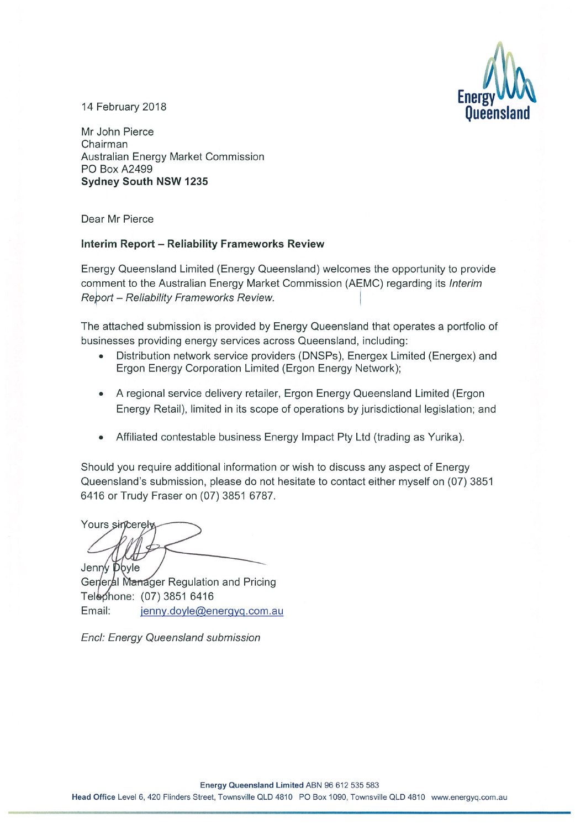

14 February 2018

Mr John Pierce Chairman Australian Energy Market Commission PO Box A2499 **Sydney South NSW 1235** 

Dear Mr Pierce

#### **Interim Report - Reliability Frameworks Review**

Energy Queensland Limited (Energy Queensland) welcomes the opportunity to provide comment to the Australian Energy Market Commission (AEMC) regarding its Interim Report - Reliability Frameworks Review.

The attached submission is provided by Energy Queensland that operates a portfolio of businesses providing energy services across Queensland, including:

- Distribution network service providers (DNSPs), Energex Limited (Energex) and Ergon Energy Corporation Limited (Ergon Energy Network);
- A regional service delivery retailer, Ergon Energy Queensland Limited (Ergon Energy Retail), limited in its scope of operations by jurisdictional legislation; and
- Affiliated contestable business Energy Impact Pty Ltd (trading as Yurika).

Should you require additional information or wish to discuss any aspect of Energy Queensland's submission, please do not hesitate to contact either myself on (07) 3851 6416 or Trudy Fraser on (07) 3851 6787.

Yours sincerely Jenny Doyle

General Manager Regulation and Pricing Telephone: (07) 3851 6416 Email: jenny.doyle@energyg.com.au

Encl: Energy Queensland submission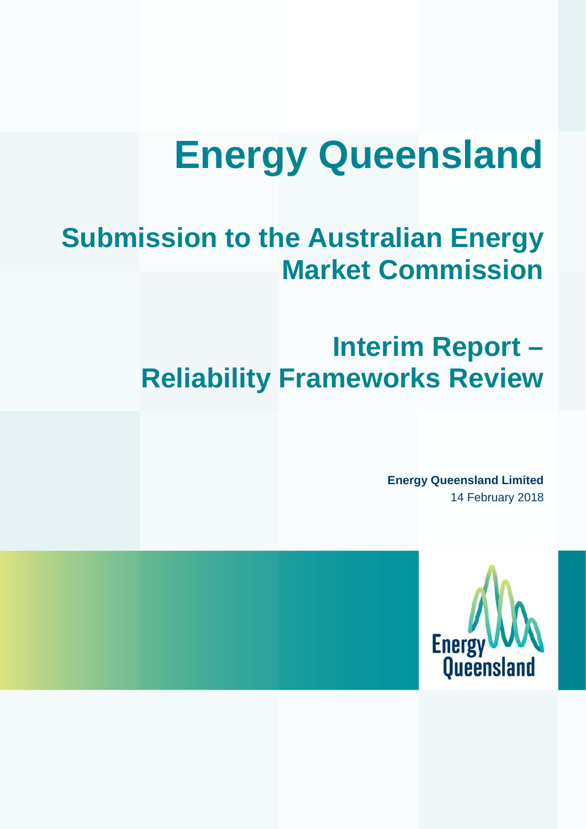# **Energy Queensland**

# **Submission to the Australian Energy Market Commission**

# **Interim Report – Reliability Frameworks Review**

**Energy Queensland Limited** 14 February 2018

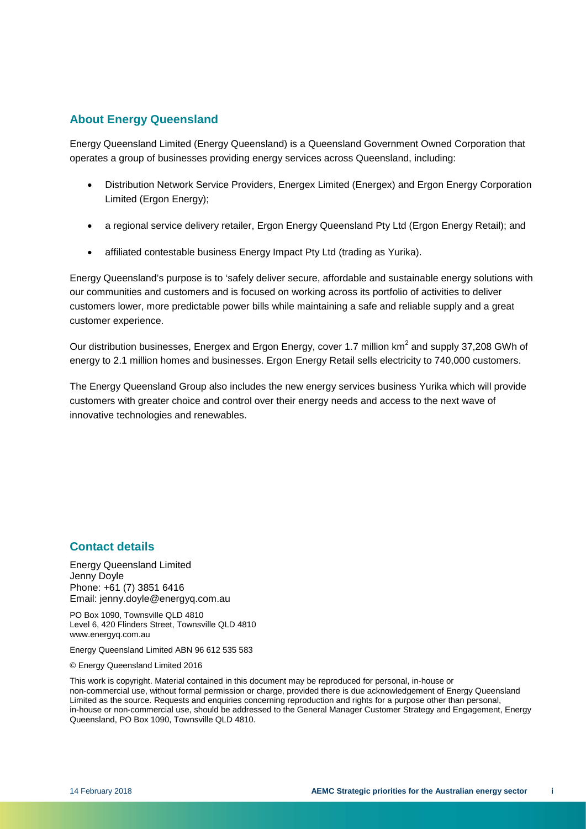#### **About Energy Queensland**

Energy Queensland Limited (Energy Queensland) is a Queensland Government Owned Corporation that operates a group of businesses providing energy services across Queensland, including:

- Distribution Network Service Providers, Energex Limited (Energex) and Ergon Energy Corporation Limited (Ergon Energy);
- a regional service delivery retailer, Ergon Energy Queensland Pty Ltd (Ergon Energy Retail); and
- affiliated contestable business Energy Impact Pty Ltd (trading as Yurika).

Energy Queensland's purpose is to 'safely deliver secure, affordable and sustainable energy solutions with our communities and customers and is focused on working across its portfolio of activities to deliver customers lower, more predictable power bills while maintaining a safe and reliable supply and a great customer experience.

Our distribution businesses, Energex and Ergon Energy, cover 1.7 million km<sup>2</sup> and supply 37,208 GWh of energy to 2.1 million homes and businesses. Ergon Energy Retail sells electricity to 740,000 customers.

The Energy Queensland Group also includes the new energy services business Yurika which will provide customers with greater choice and control over their energy needs and access to the next wave of innovative technologies and renewables.

#### **Contact details**

Energy Queensland Limited Jenny Doyle Phone: +61 (7) 3851 6416 Email: jenny.doyle@energyq.com.au

PO Box 1090, Townsville QLD 4810 Level 6, 420 Flinders Street, Townsville QLD 4810 www.energyq.com.au

Energy Queensland Limited ABN 96 612 535 583

© Energy Queensland Limited 2016

This work is copyright. Material contained in this document may be reproduced for personal, in-house or non-commercial use, without formal permission or charge, provided there is due acknowledgement of Energy Queensland Limited as the source. Requests and enquiries concerning reproduction and rights for a purpose other than personal, in-house or non-commercial use, should be addressed to the General Manager Customer Strategy and Engagement, Energy Queensland, PO Box 1090, Townsville QLD 4810.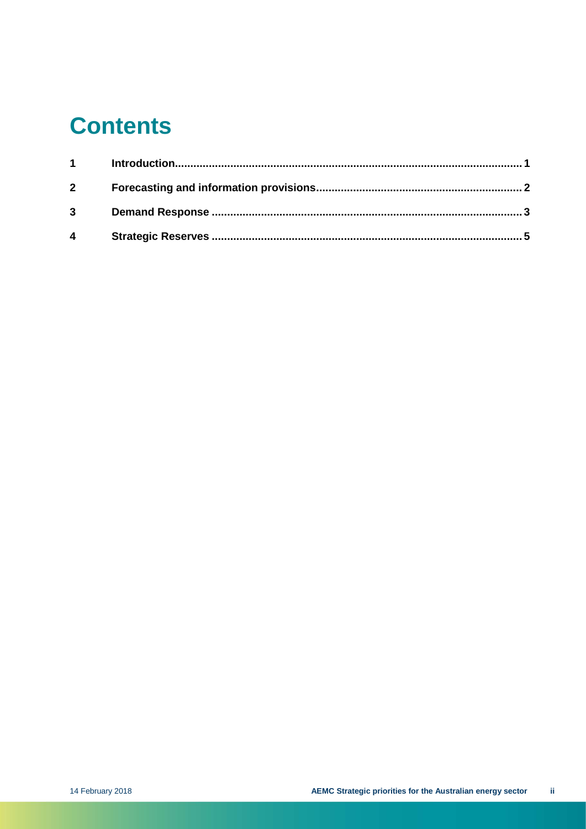# **Contents**

| $1 \quad \blacksquare$ |  |
|------------------------|--|
| $\mathbf{2}$           |  |
| $3^{\circ}$            |  |
| $\overline{4}$         |  |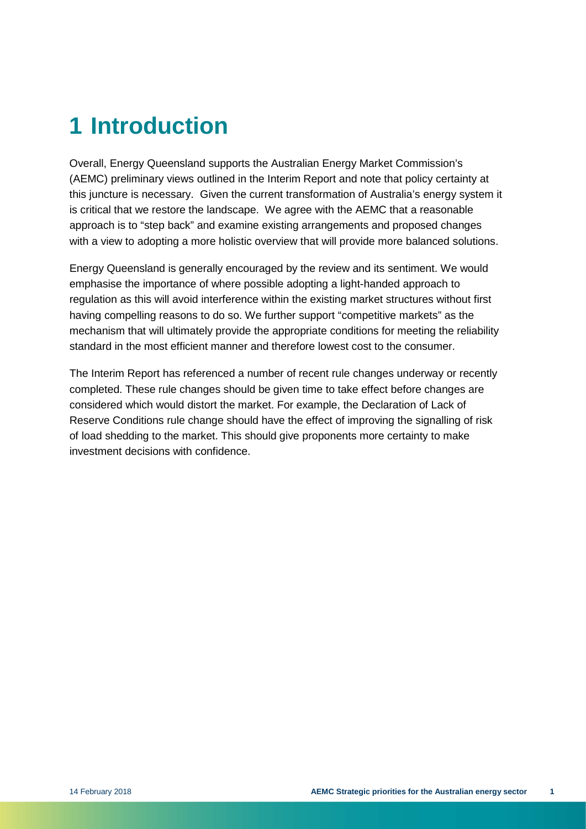## <span id="page-4-0"></span>**1 Introduction**

Overall, Energy Queensland supports the Australian Energy Market Commission's (AEMC) preliminary views outlined in the Interim Report and note that policy certainty at this juncture is necessary. Given the current transformation of Australia's energy system it is critical that we restore the landscape. We agree with the AEMC that a reasonable approach is to "step back" and examine existing arrangements and proposed changes with a view to adopting a more holistic overview that will provide more balanced solutions.

Energy Queensland is generally encouraged by the review and its sentiment. We would emphasise the importance of where possible adopting a light-handed approach to regulation as this will avoid interference within the existing market structures without first having compelling reasons to do so. We further support "competitive markets" as the mechanism that will ultimately provide the appropriate conditions for meeting the reliability standard in the most efficient manner and therefore lowest cost to the consumer.

The Interim Report has referenced a number of recent rule changes underway or recently completed. These rule changes should be given time to take effect before changes are considered which would distort the market. For example, the Declaration of Lack of Reserve Conditions rule change should have the effect of improving the signalling of risk of load shedding to the market. This should give proponents more certainty to make investment decisions with confidence.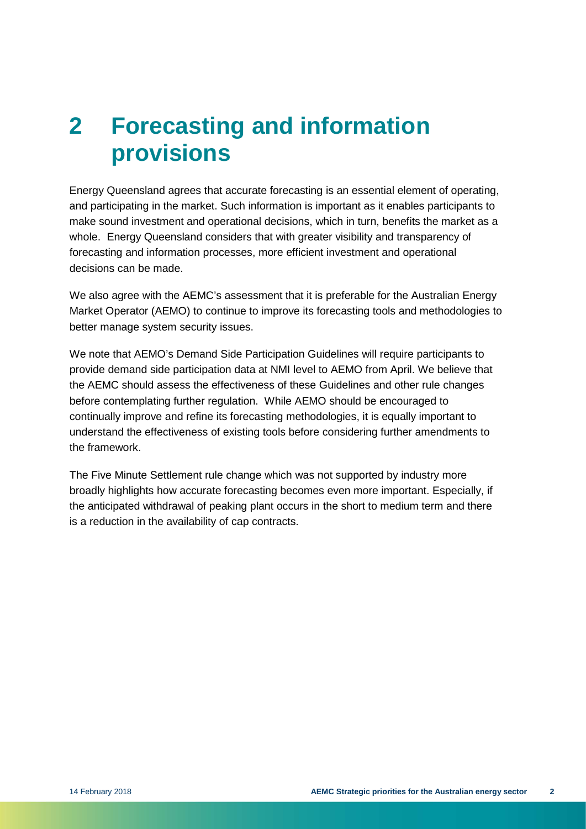## <span id="page-5-0"></span>**2 Forecasting and information provisions**

Energy Queensland agrees that accurate forecasting is an essential element of operating, and participating in the market. Such information is important as it enables participants to make sound investment and operational decisions, which in turn, benefits the market as a whole. Energy Queensland considers that with greater visibility and transparency of forecasting and information processes, more efficient investment and operational decisions can be made.

We also agree with the AEMC's assessment that it is preferable for the Australian Energy Market Operator (AEMO) to continue to improve its forecasting tools and methodologies to better manage system security issues.

We note that AEMO's Demand Side Participation Guidelines will require participants to provide demand side participation data at NMI level to AEMO from April. We believe that the AEMC should assess the effectiveness of these Guidelines and other rule changes before contemplating further regulation. While AEMO should be encouraged to continually improve and refine its forecasting methodologies, it is equally important to understand the effectiveness of existing tools before considering further amendments to the framework.

The Five Minute Settlement rule change which was not supported by industry more broadly highlights how accurate forecasting becomes even more important. Especially, if the anticipated withdrawal of peaking plant occurs in the short to medium term and there is a reduction in the availability of cap contracts.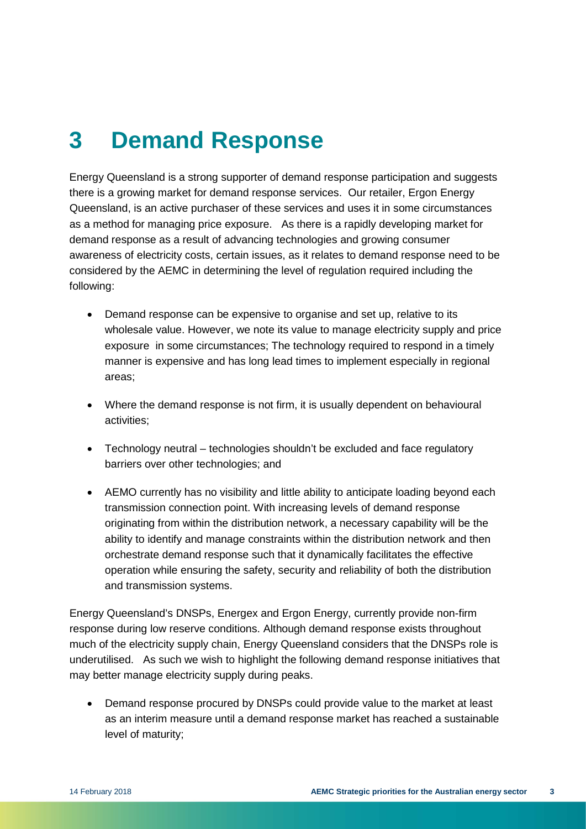### <span id="page-6-0"></span>**3 Demand Response**

Energy Queensland is a strong supporter of demand response participation and suggests there is a growing market for demand response services. Our retailer, Ergon Energy Queensland, is an active purchaser of these services and uses it in some circumstances as a method for managing price exposure. As there is a rapidly developing market for demand response as a result of advancing technologies and growing consumer awareness of electricity costs, certain issues, as it relates to demand response need to be considered by the AEMC in determining the level of regulation required including the following:

- Demand response can be expensive to organise and set up, relative to its wholesale value. However, we note its value to manage electricity supply and price exposure in some circumstances; The technology required to respond in a timely manner is expensive and has long lead times to implement especially in regional areas;
- Where the demand response is not firm, it is usually dependent on behavioural activities;
- Technology neutral technologies shouldn't be excluded and face regulatory barriers over other technologies; and
- AEMO currently has no visibility and little ability to anticipate loading beyond each transmission connection point. With increasing levels of demand response originating from within the distribution network, a necessary capability will be the ability to identify and manage constraints within the distribution network and then orchestrate demand response such that it dynamically facilitates the effective operation while ensuring the safety, security and reliability of both the distribution and transmission systems.

Energy Queensland's DNSPs, Energex and Ergon Energy, currently provide non-firm response during low reserve conditions. Although demand response exists throughout much of the electricity supply chain, Energy Queensland considers that the DNSPs role is underutilised. As such we wish to highlight the following demand response initiatives that may better manage electricity supply during peaks.

• Demand response procured by DNSPs could provide value to the market at least as an interim measure until a demand response market has reached a sustainable level of maturity;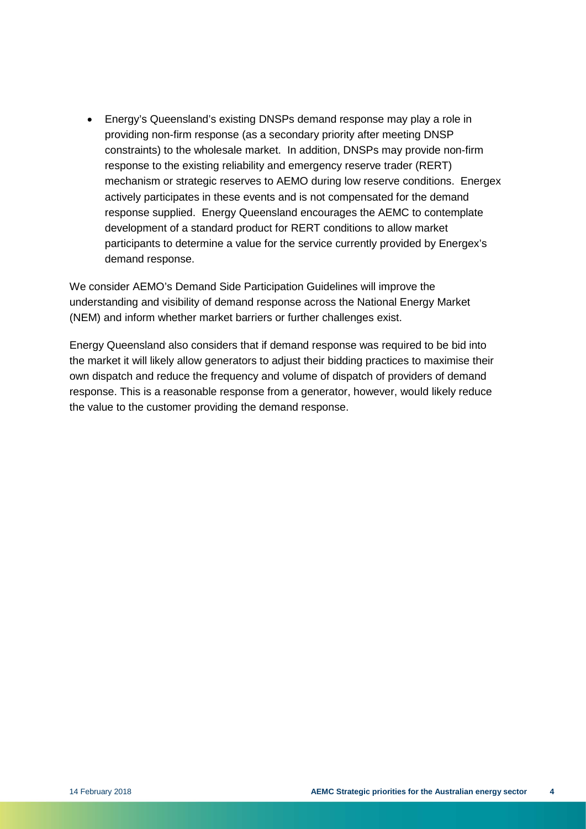• Energy's Queensland's existing DNSPs demand response may play a role in providing non-firm response (as a secondary priority after meeting DNSP constraints) to the wholesale market. In addition, DNSPs may provide non-firm response to the existing reliability and emergency reserve trader (RERT) mechanism or strategic reserves to AEMO during low reserve conditions. Energex actively participates in these events and is not compensated for the demand response supplied. Energy Queensland encourages the AEMC to contemplate development of a standard product for RERT conditions to allow market participants to determine a value for the service currently provided by Energex's demand response.

We consider AEMO's Demand Side Participation Guidelines will improve the understanding and visibility of demand response across the National Energy Market (NEM) and inform whether market barriers or further challenges exist.

Energy Queensland also considers that if demand response was required to be bid into the market it will likely allow generators to adjust their bidding practices to maximise their own dispatch and reduce the frequency and volume of dispatch of providers of demand response. This is a reasonable response from a generator, however, would likely reduce the value to the customer providing the demand response.